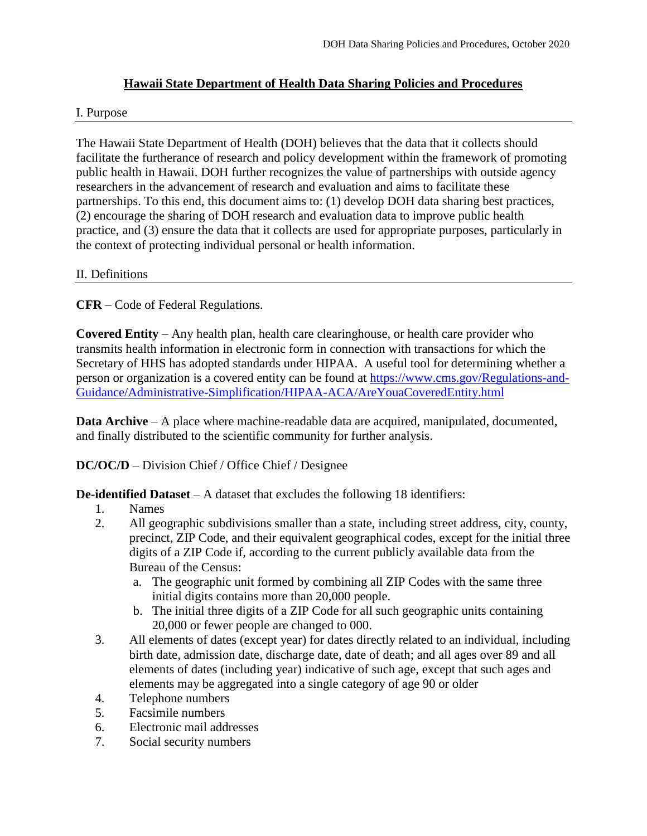# **Hawaii State Department of Health Data Sharing Policies and Procedures**

#### I. Purpose

The Hawaii State Department of Health (DOH) believes that the data that it collects should facilitate the furtherance of research and policy development within the framework of promoting public health in Hawaii. DOH further recognizes the value of partnerships with outside agency researchers in the advancement of research and evaluation and aims to facilitate these partnerships. To this end, this document aims to: (1) develop DOH data sharing best practices, (2) encourage the sharing of DOH research and evaluation data to improve public health practice, and (3) ensure the data that it collects are used for appropriate purposes, particularly in the context of protecting individual personal or health information.

#### II. Definitions

**CFR** – Code of Federal Regulations.

**Covered Entity** – Any health plan, health care clearinghouse, or health care provider who transmits health information in electronic form in connection with transactions for which the Secretary of HHS has adopted standards under HIPAA. A useful tool for determining whether a person or organization is a covered entity can be found at [https://www.cms.gov/Regulations-and-](https://www.cms.gov/Regulations-and-Guidance/Administrative-Simplification/HIPAA-ACA/AreYouaCoveredEntity.html)[Guidance/Administrative-Simplification/HIPAA-ACA/AreYouaCoveredEntity.html](https://www.cms.gov/Regulations-and-Guidance/Administrative-Simplification/HIPAA-ACA/AreYouaCoveredEntity.html)

**Data Archive** – A place where machine-readable data are acquired, manipulated, documented, and finally distributed to the scientific community for further analysis.

## **DC/OC/D** – Division Chief / Office Chief / Designee

**De-identified Dataset** – A dataset that excludes the following 18 identifiers:

- 1. Names
- 2. All geographic subdivisions smaller than a state, including street address, city, county, precinct, ZIP Code, and their equivalent geographical codes, except for the initial three digits of a ZIP Code if, according to the current publicly available data from the Bureau of the Census:
	- a. The geographic unit formed by combining all ZIP Codes with the same three initial digits contains more than 20,000 people.
	- b. The initial three digits of a ZIP Code for all such geographic units containing 20,000 or fewer people are changed to 000.
- 3. All elements of dates (except year) for dates directly related to an individual, including birth date, admission date, discharge date, date of death; and all ages over 89 and all elements of dates (including year) indicative of such age, except that such ages and elements may be aggregated into a single category of age 90 or older
- 4. Telephone numbers
- 5. Facsimile numbers
- 6. Electronic mail addresses
- 7. Social security numbers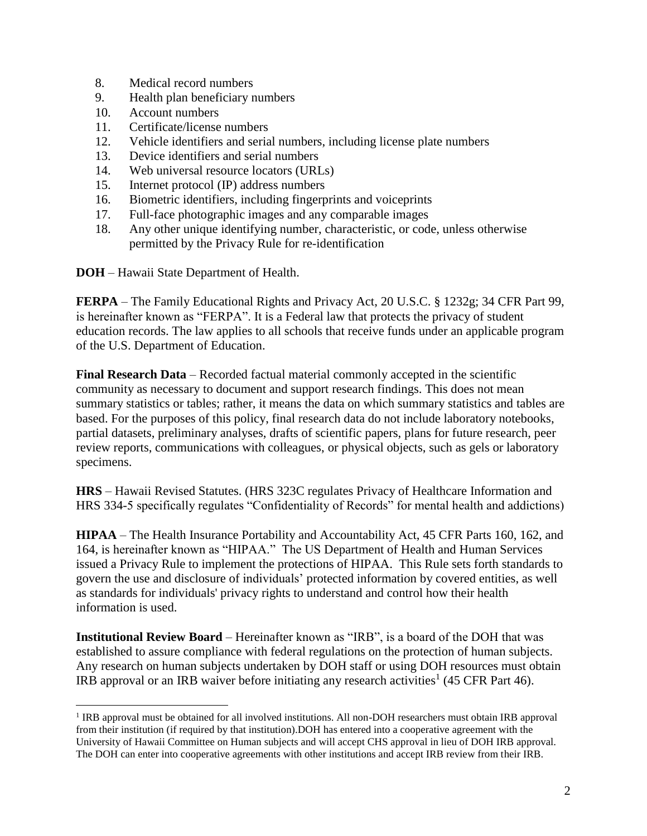- 8. Medical record numbers
- 9. Health plan beneficiary numbers
- 10. Account numbers
- 11. Certificate/license numbers
- 12. Vehicle identifiers and serial numbers, including license plate numbers
- 13. Device identifiers and serial numbers
- 14. Web universal resource locators (URLs)
- 15. Internet protocol (IP) address numbers
- 16. Biometric identifiers, including fingerprints and voiceprints
- 17. Full-face photographic images and any comparable images
- 18. Any other unique identifying number, characteristic, or code, unless otherwise permitted by the Privacy Rule for re-identification

**DOH** – Hawaii State Department of Health.

**FERPA** – The Family Educational Rights and Privacy Act, 20 U.S.C. § 1232g; 34 CFR Part 99, is hereinafter known as "FERPA". It is a Federal law that protects the privacy of student education records. The law applies to all schools that receive funds under an applicable program of the U.S. Department of Education.

**Final Research Data** – Recorded factual material commonly accepted in the scientific community as necessary to document and support research findings. This does not mean summary statistics or tables; rather, it means the data on which summary statistics and tables are based. For the purposes of this policy, final research data do not include laboratory notebooks, partial datasets, preliminary analyses, drafts of scientific papers, plans for future research, peer review reports, communications with colleagues, or physical objects, such as gels or laboratory specimens.

**HRS** – Hawaii Revised Statutes. (HRS 323C regulates Privacy of Healthcare Information and HRS 334-5 specifically regulates "Confidentiality of Records" for mental health and addictions)

**HIPAA** – The Health Insurance Portability and Accountability Act, 45 CFR Parts 160, 162, and 164, is hereinafter known as "HIPAA." The US Department of Health and Human Services issued a Privacy Rule to implement the protections of HIPAA. This Rule sets forth standards to govern the use and disclosure of individuals' protected information by covered entities, as well as standards for individuals' privacy rights to understand and control how their health information is used.

**Institutional Review Board** – Hereinafter known as "IRB", is a board of the DOH that was established to assure compliance with federal regulations on the protection of human subjects. Any research on human subjects undertaken by DOH staff or using DOH resources must obtain IRB approval or an IRB waiver before initiating any research activities<sup>1</sup> (45 CFR Part 46).

<sup>&</sup>lt;sup>1</sup> IRB approval must be obtained for all involved institutions. All non-DOH researchers must obtain IRB approval from their institution (if required by that institution).DOH has entered into a cooperative agreement with the University of Hawaii Committee on Human subjects and will accept CHS approval in lieu of DOH IRB approval. The DOH can enter into cooperative agreements with other institutions and accept IRB review from their IRB.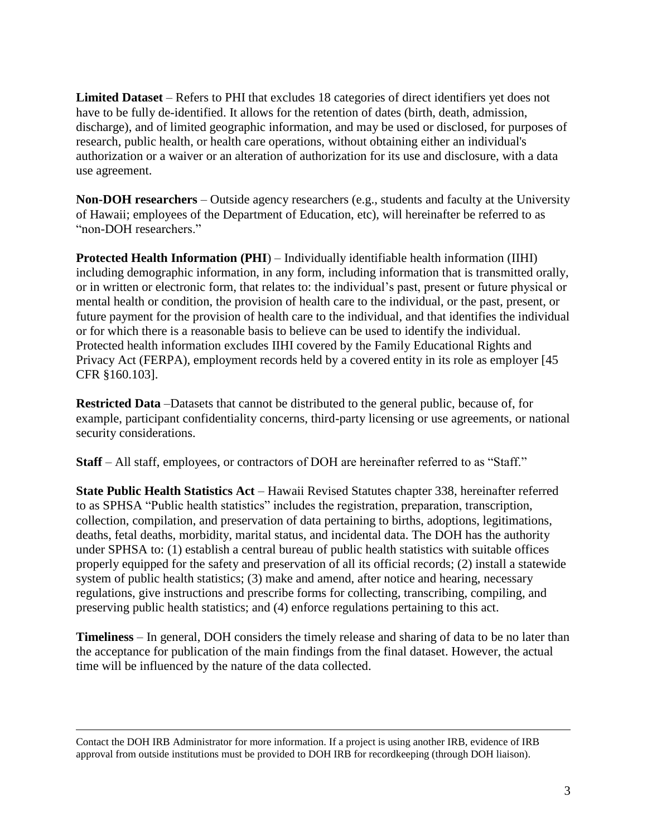**Limited Dataset** – Refers to PHI that excludes 18 categories of direct identifiers yet does not have to be fully de-identified. It allows for the retention of dates (birth, death, admission, discharge), and of limited geographic information, and may be used or disclosed, for purposes of research, public health, or health care operations, without obtaining either an individual's authorization or a waiver or an alteration of authorization for its use and disclosure, with a data use agreement.

**Non-DOH researchers** – Outside agency researchers (e.g., students and faculty at the University of Hawaii; employees of the Department of Education, etc), will hereinafter be referred to as "non-DOH researchers."

**Protected Health Information (PHI**) – Individually identifiable health information (IIHI) including demographic information, in any form, including information that is transmitted orally, or in written or electronic form, that relates to: the individual's past, present or future physical or mental health or condition, the provision of health care to the individual, or the past, present, or future payment for the provision of health care to the individual, and that identifies the individual or for which there is a reasonable basis to believe can be used to identify the individual. Protected health information excludes IIHI covered by the Family Educational Rights and Privacy Act (FERPA), employment records held by a covered entity in its role as employer [45 CFR §160.103].

**Restricted Data** –Datasets that cannot be distributed to the general public, because of, for example, participant confidentiality concerns, third-party licensing or use agreements, or national security considerations.

**Staff** – All staff, employees, or contractors of DOH are hereinafter referred to as "Staff."

**State Public Health Statistics Act** – Hawaii Revised Statutes chapter 338, hereinafter referred to as SPHSA "Public health statistics" includes the registration, preparation, transcription, collection, compilation, and preservation of data pertaining to births, adoptions, legitimations, deaths, fetal deaths, morbidity, marital status, and incidental data. The DOH has the authority under SPHSA to: (1) establish a central bureau of public health statistics with suitable offices properly equipped for the safety and preservation of all its official records; (2) install a statewide system of public health statistics; (3) make and amend, after notice and hearing, necessary regulations, give instructions and prescribe forms for collecting, transcribing, compiling, and preserving public health statistics; and (4) enforce regulations pertaining to this act.

**Timeliness** – In general, DOH considers the timely release and sharing of data to be no later than the acceptance for publication of the main findings from the final dataset. However, the actual time will be influenced by the nature of the data collected.

Contact the DOH IRB Administrator for more information. If a project is using another IRB, evidence of IRB approval from outside institutions must be provided to DOH IRB for recordkeeping (through DOH liaison).

 $\overline{a}$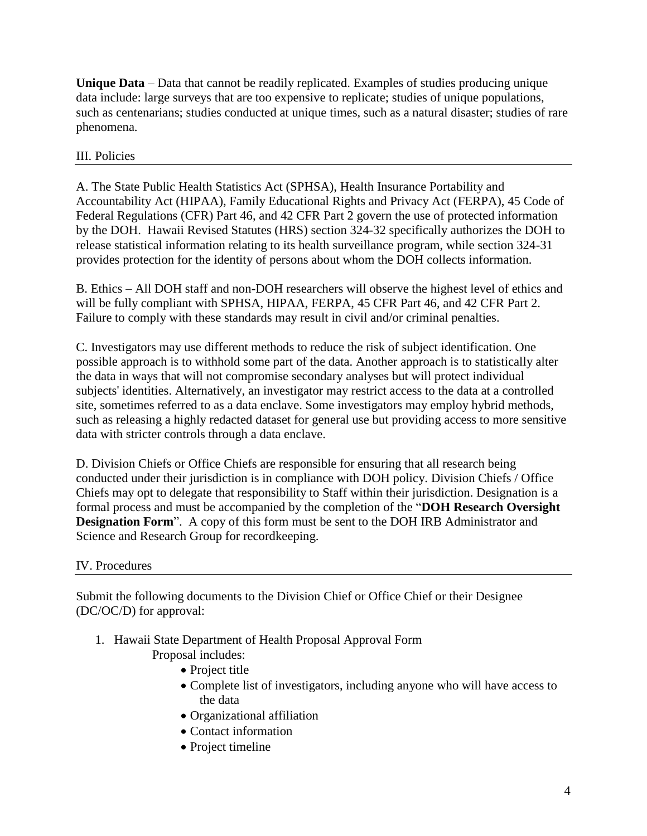**Unique Data** – Data that cannot be readily replicated. Examples of studies producing unique data include: large surveys that are too expensive to replicate; studies of unique populations, such as centenarians; studies conducted at unique times, such as a natural disaster; studies of rare phenomena.

# III. Policies

A. The State Public Health Statistics Act (SPHSA), Health Insurance Portability and Accountability Act (HIPAA), Family Educational Rights and Privacy Act (FERPA), 45 Code of Federal Regulations (CFR) Part 46, and 42 CFR Part 2 govern the use of protected information by the DOH. Hawaii Revised Statutes (HRS) section 324-32 specifically authorizes the DOH to release statistical information relating to its health surveillance program, while section 324-31 provides protection for the identity of persons about whom the DOH collects information.

B. Ethics – All DOH staff and non-DOH researchers will observe the highest level of ethics and will be fully compliant with SPHSA, HIPAA, FERPA, 45 CFR Part 46, and 42 CFR Part 2. Failure to comply with these standards may result in civil and/or criminal penalties.

C. Investigators may use different methods to reduce the risk of subject identification. One possible approach is to withhold some part of the data. Another approach is to statistically alter the data in ways that will not compromise secondary analyses but will protect individual subjects' identities. Alternatively, an investigator may restrict access to the data at a controlled site, sometimes referred to as a data enclave. Some investigators may employ hybrid methods, such as releasing a highly redacted dataset for general use but providing access to more sensitive data with stricter controls through a data enclave.

D. Division Chiefs or Office Chiefs are responsible for ensuring that all research being conducted under their jurisdiction is in compliance with DOH policy. Division Chiefs / Office Chiefs may opt to delegate that responsibility to Staff within their jurisdiction. Designation is a formal process and must be accompanied by the completion of the "**DOH Research Oversight Designation Form**". A copy of this form must be sent to the DOH IRB Administrator and Science and Research Group for recordkeeping.

## IV. Procedures

Submit the following documents to the Division Chief or Office Chief or their Designee (DC/OC/D) for approval:

- 1. Hawaii State Department of Health Proposal Approval Form
	- Proposal includes:
		- Project title
		- Complete list of investigators, including anyone who will have access to the data
		- Organizational affiliation
		- Contact information
		- Project timeline